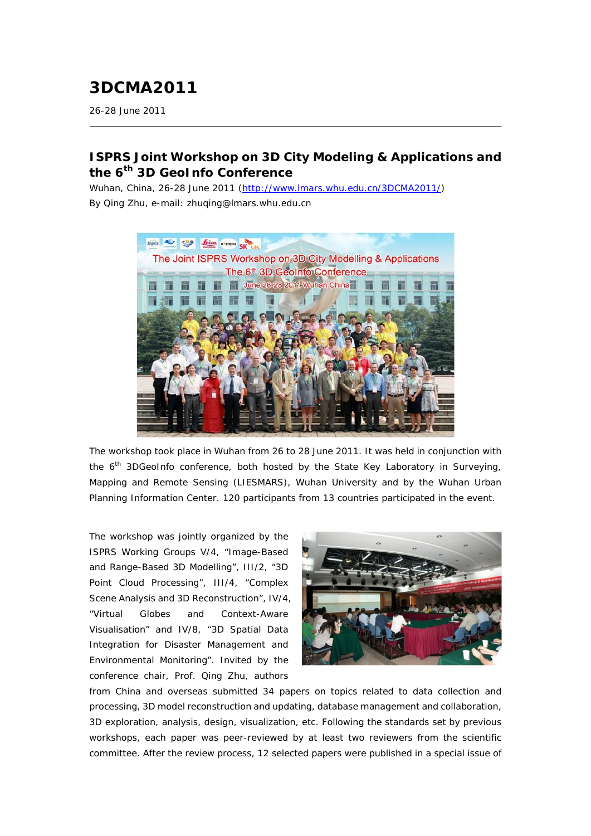## **3DCMA2011**

26-28 June 2011

## **ISPRS Joint Workshop on 3D City Modeling & Applications and the 6th 3D GeoInfo Conference**

*Wuhan, China, 26-28 June 2011 (*<http://www.lmars.whu.edu.cn/3DCMA2011/>*) By Qing Zhu, e-mail: zhuqing@lmars.whu.edu.cn*



The workshop took place in Wuhan from 26 to 28 June 2011. It was held in conjunction with the  $6<sup>th</sup>$  3DGeoInfo conference, both hosted by the State Key Laboratory in Surveying, Mapping and Remote Sensing (LIESMARS), Wuhan University and by the Wuhan Urban Planning Information Center. 120 participants from 13 countries participated in the event.

The workshop was jointly organized by the ISPRS Working Groups V/4, "Image-Based and Range-Based 3D Modelling", III/2, "3D Point Cloud Processing", III/4, "Complex Scene Analysis and 3D Reconstruction", IV/4, "Virtual Globes and Context-Aware Visualisation" and IV/8, "3D Spatial Data Integration for Disaster Management and Environmental Monitoring". Invited by the conference chair, Prof. Qing Zhu, authors



from China and overseas submitted 34 papers on topics related to data collection and processing, 3D model reconstruction and updating, database management and collaboration, 3D exploration, analysis, design, visualization, etc. Following the standards set by previous workshops, each paper was peer-reviewed by at least two reviewers from the scientific committee. After the review process, 12 selected papers were published in a special issue of